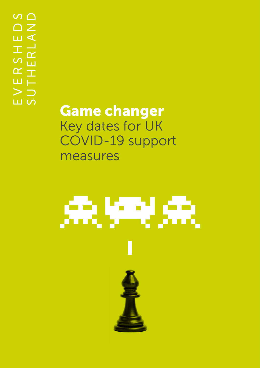Game changer Key dates for UK COVID-19 support measures

## 未好来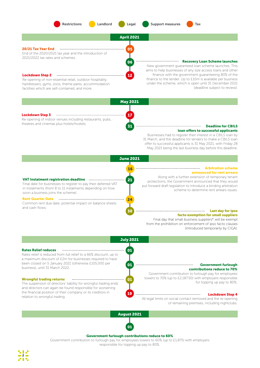





Lockdown Step 3 ---------------Re-opening of indoor venues including restaurants, pubs, theatres and cinemas plus hotels/hostels. **Deadline for CBILS CHO 31 CHO 31 CHO 2014 Deadline for CBILS** 

## loan offers to successful applicants

Businesses had to register their interest in a CBILS loan by 31 March, and the deadline for lenders to make a CBILS loan offer to successful applicants is 31 May 2021, with Friday 28 May 2021 being the last business day before this deadline.

June 2021 Arbitration scheme 16 announced for rent arrears Along with a further extension of temporary tenant VAT Instalment registration deadline 21 protections, the Government announced that they would Final date for businesses to register to pay their deferred VAT put forward draft legislation to introduce a binding arbitration in instalments (from 8 to 11 instalments depending on how scheme to determine rent arrears issues. soon a business joins the scheme). Rent Quarter Date 24 Common rent due date, potential impact on balance sheets and cash flows. 30 **Marrior** Last day for ipso facto exemption for small suppliers Final day that small business suppliers\* will be exempt from the prohibition on enforcement of ipso facto clauses (introduced temporarily by CIGA).

July 2021

31

Rates Relief reduces 01 Rates relief is reduced from full relief to a 66% discount, up to a maximum discount of £2m for businesses required to have been closed on 5 January 2021 (otherwise £105,000 per been closed on 5 January 2021 (otherwise E105,000 per **Community and Configuration Configuration** contributions m<br>Contributions reduce to 70% 01 contributions reduce to 70% Government contribution to furlough pay for employees lowers to 70% (up to £2,187.50) with employers responsible Wrongful trading returns 01 for topping up pay to 80%. The suspension of directors' liability for wrongful trading ends and directors can again be found responsible for worsening the financial position of their company or its creditors in 19 Lockdown Step 4 relation to wrongful trading. All legal limits on social contact removed and the re-opening of remaining premises, including nightclubs.

August 2021



## Government furlough contributions reduce to 60%

Government contribution to furlough pay for employees lowers to 60% (up to £1,875) with employers responsible for topping up pay to 80%.

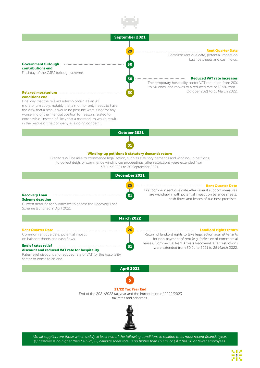





*\*Small suppliers are those which satisfy at least two of the following conditions in relation to its most recent financial year: (1) turnover is no higher than £10.2m, (2) balance sheet total is no higher than £5.1m, or (3) it has 50 or fewer employees.*

3